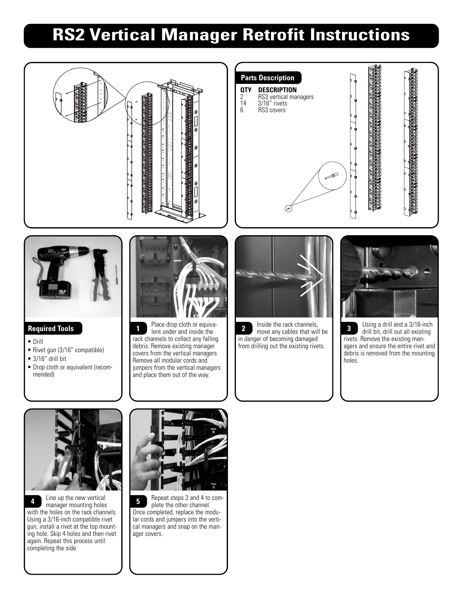## **RS2 Vertical Manager Retrofit Instructions**



Line up the new vertical manager mounting holes with the holes on the rack channels. Using a 3/16-inch compatible rivet gun, install a rivet at the top mounting hole. Skip 4 holes and then rivet again. Repeat this process until completing the side. **4** Line up the new vertical **5** Repeat steps 3 and 4 to com-



plete the other channel. Once completed, replace the modular cords and jumpers into the vertical managers and snap on the manager covers. **5**